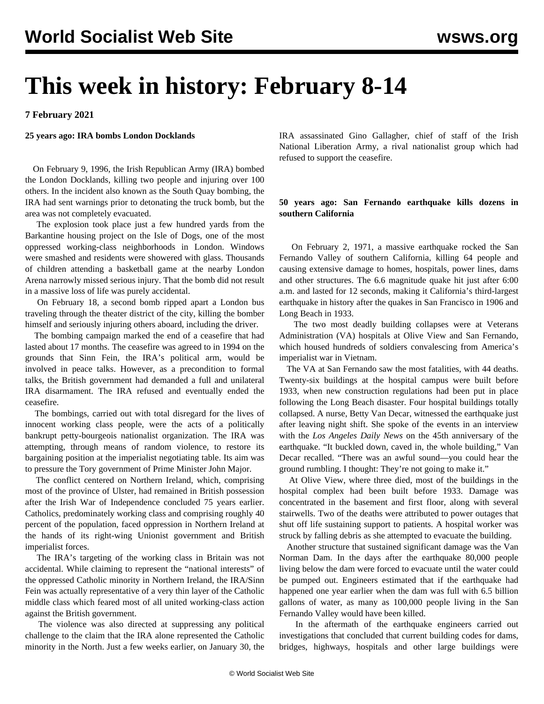# **This week in history: February 8-14**

**7 February 2021**

#### **25 years ago: IRA bombs London Docklands**

 On February 9, 1996, the Irish Republican Army (IRA) bombed the London Docklands, killing two people and injuring over 100 others. In the incident also known as the South Quay bombing, the IRA had sent warnings prior to detonating the truck bomb, but the area was not completely evacuated.

 The explosion took place just a few hundred yards from the Barkantine housing project on the Isle of Dogs, one of the most oppressed working-class neighborhoods in London. Windows were smashed and residents were showered with glass. Thousands of children attending a basketball game at the nearby London Arena narrowly missed serious injury. That the bomb did not result in a massive loss of life was purely accidental.

 On February 18, a second bomb ripped apart a London bus traveling through the theater district of the city, killing the bomber himself and seriously injuring others aboard, including the driver.

 The bombing campaign marked the end of a ceasefire that had lasted about 17 months. The ceasefire was agreed to in 1994 on the grounds that Sinn Fein, the IRA's political arm, would be involved in peace talks. However, as a precondition to formal talks, the British government had demanded a full and unilateral IRA disarmament. The IRA refused and eventually ended the ceasefire.

 The bombings, carried out with total disregard for the lives of innocent working class people, were the acts of a politically bankrupt petty-bourgeois nationalist organization. The IRA was attempting, through means of random violence, to restore its bargaining position at the imperialist negotiating table. Its aim was to pressure the Tory government of Prime Minister John Major.

 The conflict centered on Northern Ireland, which, comprising most of the province of Ulster, had remained in British possession after the Irish War of Independence concluded 75 years earlier. Catholics, predominately working class and comprising roughly 40 percent of the population, faced oppression in Northern Ireland at the hands of its right-wing Unionist government and British imperialist forces.

 The IRA's targeting of the working class in Britain was not accidental. While claiming to represent the "national interests" of the oppressed Catholic minority in Northern Ireland, the IRA/Sinn Fein was actually representative of a very thin layer of the Catholic middle class which feared most of all united working-class action against the British government.

 The violence was also directed at suppressing any political challenge to the claim that the IRA alone represented the Catholic minority in the North. Just a few weeks earlier, on January 30, the

IRA assassinated Gino Gallagher, chief of staff of the Irish National Liberation Army, a rival nationalist group which had refused to support the ceasefire.

## **50 years ago: San Fernando earthquake kills dozens in southern California**

 On February 2, 1971, a massive earthquake rocked the San Fernando Valley of southern California, killing 64 people and causing extensive damage to homes, hospitals, power lines, dams and other structures. The 6.6 magnitude quake hit just after 6:00 a.m. and lasted for 12 seconds, making it California's third-largest earthquake in history after the quakes in San Francisco in 1906 and Long Beach in 1933.

 The two most deadly building collapses were at Veterans Administration (VA) hospitals at Olive View and San Fernando, which housed hundreds of soldiers convalescing from America's imperialist war in Vietnam.

 The VA at San Fernando saw the most fatalities, with 44 deaths. Twenty-six buildings at the hospital campus were built before 1933, when new construction regulations had been put in place following the Long Beach disaster. Four hospital buildings totally collapsed. A nurse, Betty Van Decar, witnessed the earthquake just after leaving night shift. She spoke of the events in an interview with the *Los Angeles Daily News* on the 45th anniversary of the earthquake. "It buckled down, caved in, the whole building," Van Decar recalled. "There was an awful sound—you could hear the ground rumbling. I thought: They're not going to make it."

 At Olive View, where three died, most of the buildings in the hospital complex had been built before 1933. Damage was concentrated in the basement and first floor, along with several stairwells. Two of the deaths were attributed to power outages that shut off life sustaining support to patients. A hospital worker was struck by falling debris as she attempted to evacuate the building.

 Another structure that sustained significant damage was the Van Norman Dam. In the days after the earthquake 80,000 people living below the dam were forced to evacuate until the water could be pumped out. Engineers estimated that if the earthquake had happened one year earlier when the dam was full with 6.5 billion gallons of water, as many as 100,000 people living in the San Fernando Valley would have been killed.

 In the aftermath of the earthquake engineers carried out investigations that concluded that current building codes for dams, bridges, highways, hospitals and other large buildings were